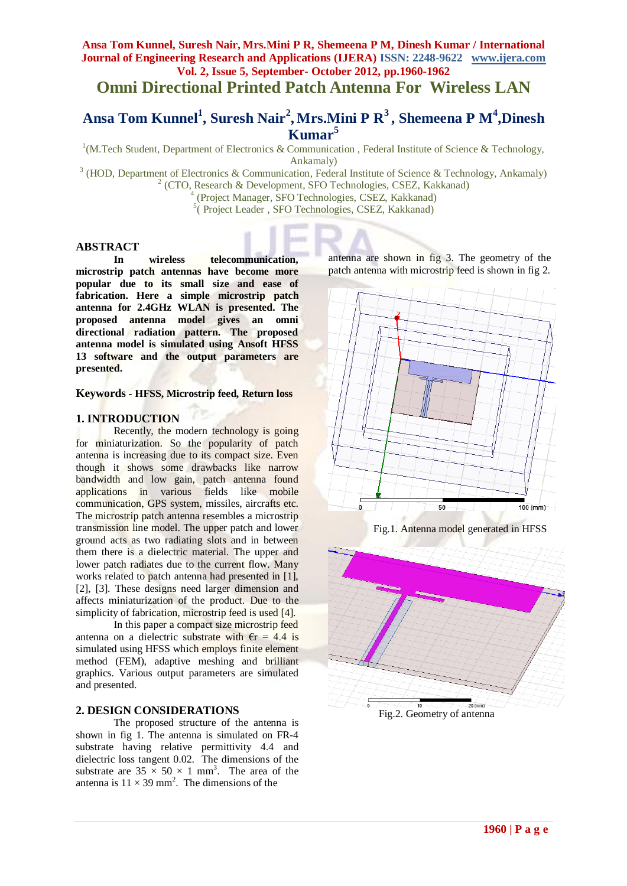## **Ansa Tom Kunnel, Suresh Nair, Mrs.Mini P R, Shemeena P M, Dinesh Kumar / International Journal of Engineering Research and Applications (IJERA) ISSN: 2248-9622 www.ijera.com Vol. 2, Issue 5, September- October 2012, pp.1960-1962**

# **Omni Directional Printed Patch Antenna For Wireless LAN**

## **Ansa Tom Kunnel<sup>1</sup> , Suresh Nair<sup>2</sup> , Mrs.Mini P R<sup>3</sup> , Shemeena P M<sup>4</sup> ,Dinesh Kumar<sup>5</sup>**

<sup>1</sup>(M.Tech Student, Department of Electronics & Communication, Federal Institute of Science & Technology, Ankamaly)

<sup>3</sup> (HOD, Department of Electronics & Communication, Federal Institute of Science & Technology, Ankamaly) <sup>2</sup> (CTO, Research & Development, SFO Technologies, CSEZ, Kakkanad) 4

(Project Manager, SFO Technologies, CSEZ, Kakkanad)

<sup>5</sup> (Project Leader, SFO Technologies, CSEZ, Kakkanad)

## **ABSTRACT**

**In wireless telecommunication, microstrip patch antennas have become more popular due to its small size and ease of fabrication. Here a simple microstrip patch antenna for 2.4GHz WLAN is presented. The proposed antenna model gives an omni directional radiation pattern. The proposed antenna model is simulated using Ansoft HFSS 13 software and the output parameters are presented.**

#### **Keywords - HFSS, Microstrip feed, Return loss**

## **1. INTRODUCTION**

Recently, the modern technology is going for miniaturization. So the popularity of patch antenna is increasing due to its compact size. Even though it shows some drawbacks like narrow bandwidth and low gain, patch antenna found applications in various fields like mobile communication, GPS system, missiles, aircrafts etc. The microstrip patch antenna resembles a microstrip transmission line model. The upper patch and lower ground acts as two radiating slots and in between them there is a dielectric material. The upper and lower patch radiates due to the current flow. Many works related to patch antenna had presented in [1], [2], [3]. These designs need larger dimension and affects miniaturization of the product. Due to the simplicity of fabrication, microstrip feed is used [4].

In this paper a compact size microstrip feed antenna on a dielectric substrate with  $\epsilon$ r = 4.4 is simulated using HFSS which employs finite element method (FEM), adaptive meshing and brilliant graphics. Various output parameters are simulated and presented.

## **2. DESIGN CONSIDERATIONS**

The proposed structure of the antenna is shown in fig 1. The antenna is simulated on FR-4 substrate having relative permittivity 4.4 and dielectric loss tangent 0.02. The dimensions of the substrate are  $35 \times 50 \times 1$  mm<sup>3</sup>. The area of the antenna is  $11 \times 39$  mm<sup>2</sup>. The dimensions of the

antenna are shown in fig 3. The geometry of the patch antenna with microstrip feed is shown in fig 2.



Fig.1. Antenna model generated in HFSS



Fig.2. Geometry of antenna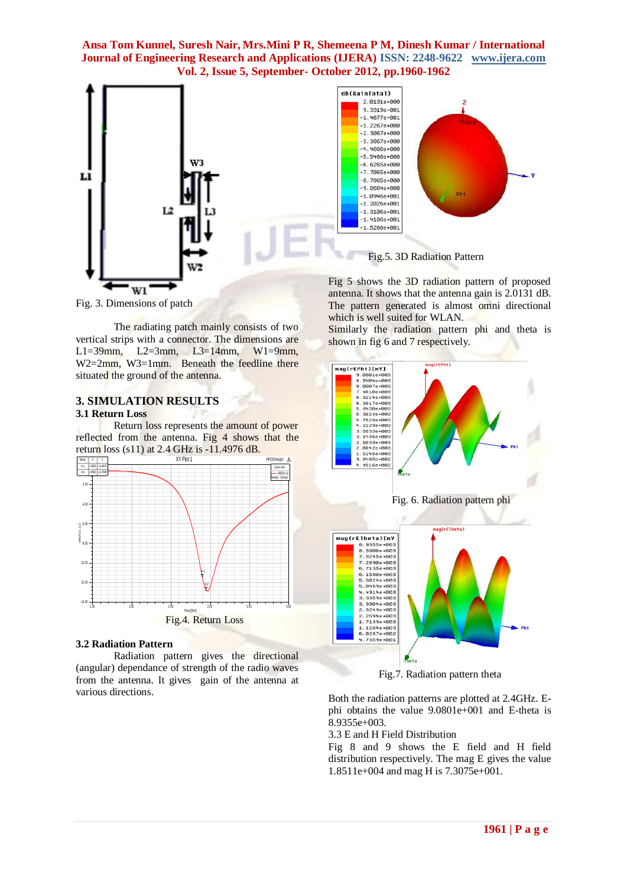## **Ansa Tom Kunnel, Suresh Nair, Mrs.Mini P R, Shemeena P M, Dinesh Kumar / International Journal of Engineering Research and Applications (IJERA) ISSN: 2248-9622 www.ijera.com Vol. 2, Issue 5, September- October 2012, pp.1960-1962**



Fig. 3. Dimensions of patch

The radiating patch mainly consists of two vertical strips with a connector. The dimensions are L1=39mm, L2=3mm, L3=14mm, W1=9mm, W<sub>2</sub>=2mm, W<sub>3</sub>=1mm. Beneath the feedline there situated the ground of the antenna.

#### **3. SIMULATION RESULTS 3.1 Return Loss**

Return loss represents the amount of power reflected from the antenna. Fig 4 shows that the



#### **3.2 Radiation Pattern**

Radiation pattern gives the directional (angular) dependance of strength of the radio waves from the antenna. It gives gain of the antenna at various directions.



The pattern generated is almost omni directional

Similarly the radiation pattern phi and theta is

which is well suited for WLAN.

shown in fig 6 and 7 respectively.

Fig.7. Radiation pattern theta

Both the radiation patterns are plotted at 2.4GHz. Ephi obtains the value 9.0801e+001 and E-theta is 8.9355e+003.

3.3 E and H Field Distribution

Fig 8 and 9 shows the E field and H field distribution respectively. The mag E gives the value 1.8511e+004 and mag H is 7.3075e+001.